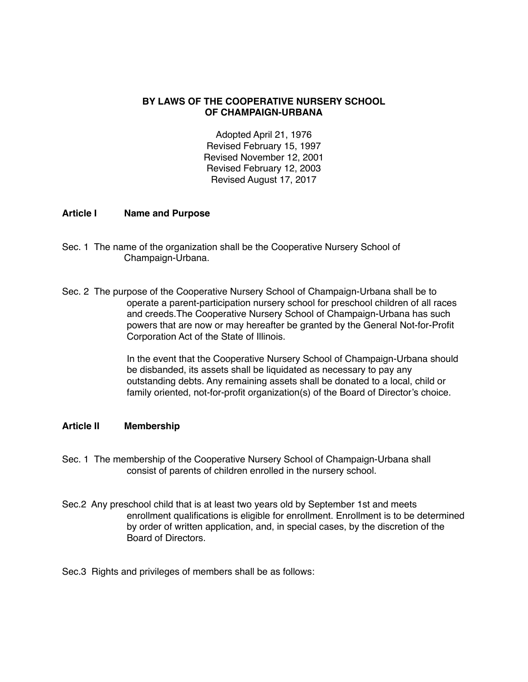## **BY LAWS OF THE COOPERATIVE NURSERY SCHOOL OF CHAMPAIGN-URBANA**

Adopted April 21, 1976 Revised February 15, 1997 Revised November 12, 2001 Revised February 12, 2003 Revised August 17, 2017

## **Article I Name and Purpose**

- Sec. 1 The name of the organization shall be the Cooperative Nursery School of Champaign-Urbana.
- Sec. 2 The purpose of the Cooperative Nursery School of Champaign-Urbana shall be to operate a parent-participation nursery school for preschool children of all races and creeds. The Cooperative Nursery School of Champaign-Urbana has such powers that are now or may hereafter be granted by the General Not-for-Profit Corporation Act of the State of Illinois.

In the event that the Cooperative Nursery School of Champaign-Urbana should be disbanded, its assets shall be liquidated as necessary to pay any outstanding debts. Any remaining assets shall be donated to a local, child or family oriented, not-for-profit organization(s) of the Board of Director's choice.

## **Article II Membership**

- Sec. 1 The membership of the Cooperative Nursery School of Champaign-Urbana shall consist of parents of children enrolled in the nursery school.
- Sec.2 Any preschool child that is at least two years old by September 1st and meets enrollment qualifications is eligible for enrollment. Enrollment is to be determined by order of written application, and, in special cases, by the discretion of the Board of Directors.

Sec.3 Rights and privileges of members shall be as follows: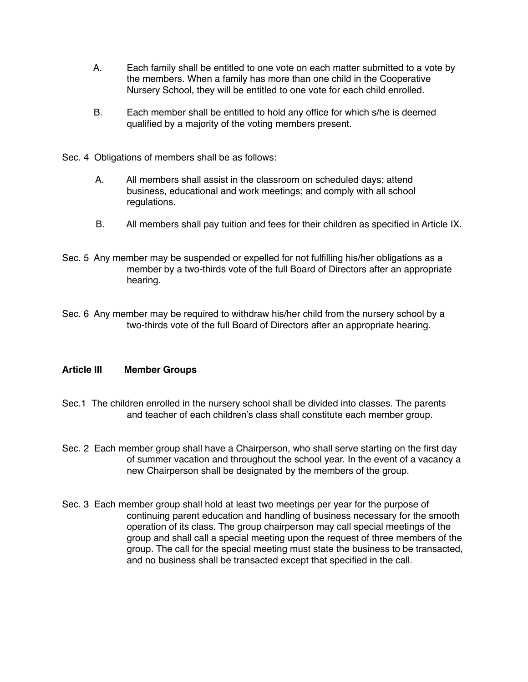- A. Each family shall be entitled to one vote on each matter submitted to a vote by the members. When a family has more than one child in the Cooperative Nursery School, they will be entitled to one vote for each child enrolled.
- B. Each member shall be entitled to hold any office for which s/he is deemed qualified by a majority of the voting members present.
- Sec. 4 Obligations of members shall be as follows:
	- A. All members shall assist in the classroom on scheduled days; attend business, educational and work meetings; and comply with all school regulations.
	- B. All members shall pay tuition and fees for their children as specified in Article IX.
- Sec. 5 Any member may be suspended or expelled for not fulfilling his/her obligations as a member by a two-thirds vote of the full Board of Directors after an appropriate hearing.
- Sec. 6 Any member may be required to withdraw his/her child from the nursery school by a two-thirds vote of the full Board of Directors after an appropriate hearing.

# **Article III Member Groups**

- Sec.1 The children enrolled in the nursery school shall be divided into classes. The parents and teacher of each children's class shall constitute each member group.
- Sec. 2 Each member group shall have a Chairperson, who shall serve starting on the first day of summer vacation and throughout the school year. In the event of a vacancy a new Chairperson shall be designated by the members of the group.
- Sec. 3 Each member group shall hold at least two meetings per year for the purpose of continuing parent education and handling of business necessary for the smooth operation of its class. The group chairperson may call special meetings of the group and shall call a special meeting upon the request of three members of the group. The call for the special meeting must state the business to be transacted, and no business shall be transacted except that specified in the call.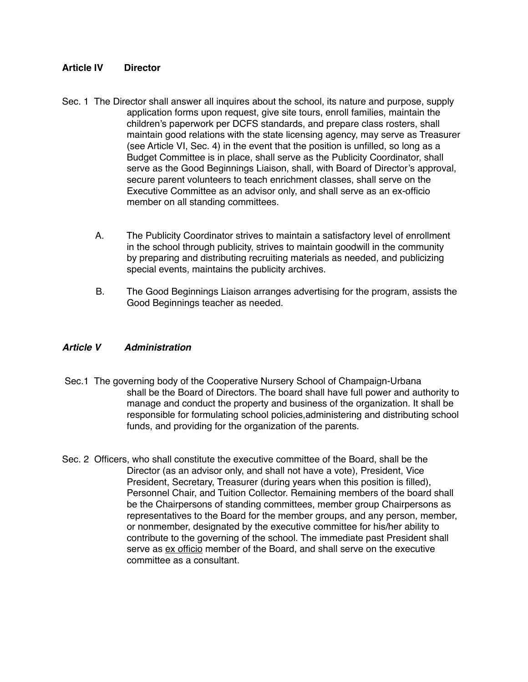## **Article IV Director**

- Sec. 1 The Director shall answer all inquires about the school, its nature and purpose, supply application forms upon request, give site tours, enroll families, maintain the children's paperwork per DCFS standards, and prepare class rosters, shall maintain good relations with the state licensing agency, may serve as Treasurer (see Article VI, Sec. 4) in the event that the position is unfilled, so long as a Budget Committee is in place, shall serve as the Publicity Coordinator, shall serve as the Good Beginnings Liaison, shall, with Board of Director's approval, secure parent volunteers to teach enrichment classes, shall serve on the Executive Committee as an advisor only, and shall serve as an ex-officio member on all standing committees.
	- A. The Publicity Coordinator strives to maintain a satisfactory level of enrollment in the school through publicity, strives to maintain goodwill in the community by preparing and distributing recruiting materials as needed, and publicizing special events, maintains the publicity archives.
	- B. The Good Beginnings Liaison arranges advertising for the program, assists the Good Beginnings teacher as needed.

## *Article V Administration*

- Sec.1 The governing body of the Cooperative Nursery School of Champaign-Urbana shall be the Board of Directors. The board shall have full power and authority to manage and conduct the property and business of the organization. It shall be ! ! responsible for formulating school policies,administering and distributing school funds, and providing for the organization of the parents.
- Sec. 2 Officers, who shall constitute the executive committee of the Board, shall be the Director (as an advisor only, and shall not have a vote), President, Vice President, Secretary, Treasurer (during years when this position is filled), Personnel Chair, and Tuition Collector. Remaining members of the board shall be the Chairpersons of standing committees, member group Chairpersons as representatives to the Board for the member groups, and any person, member, or nonmember, designated by the executive committee for his/her ability to contribute to the governing of the school. The immediate past President shall serve as ex officio member of the Board, and shall serve on the executive committee as a consultant.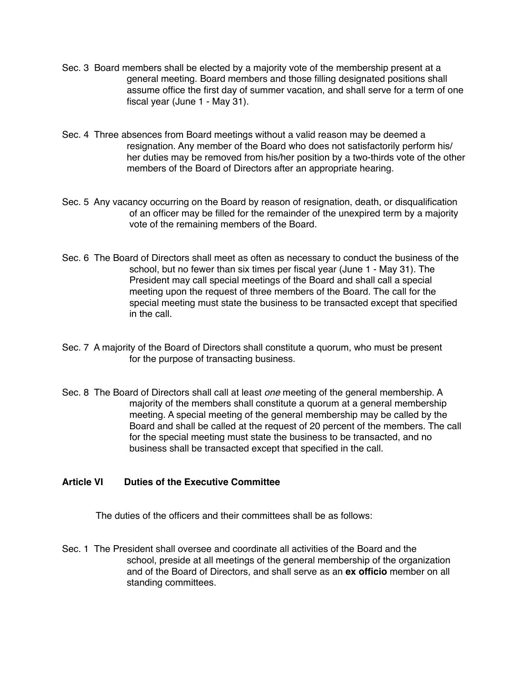- Sec. 3 Board members shall be elected by a majority vote of the membership present at a general meeting. Board members and those filling designated positions shall assume office the first day of summer vacation, and shall serve for a term of one fiscal year (June  $1$  - May 31).
- Sec. 4 Three absences from Board meetings without a valid reason may be deemed a resignation. Any member of the Board who does not satisfactorily perform his/ her duties may be removed from his/her position by a two-thirds vote of the other members of the Board of Directors after an appropriate hearing.
- Sec. 5 Any vacancy occurring on the Board by reason of resignation, death, or disqualification of an officer may be filled for the remainder of the unexpired term by a majority vote of the remaining members of the Board.
- Sec. 6 The Board of Directors shall meet as often as necessary to conduct the business of the school, but no fewer than six times per fiscal year (June 1 - May 31). The President may call special meetings of the Board and shall call a special meeting upon the request of three members of the Board. The call for the special meeting must state the business to be transacted except that specified in the call.
- Sec. 7 A majority of the Board of Directors shall constitute a quorum, who must be present for the purpose of transacting business.
- Sec. 8 The Board of Directors shall call at least *one* meeting of the general membership. A majority of the members shall constitute a quorum at a general membership meeting. A special meeting of the general membership may be called by the Board and shall be called at the request of 20 percent of the members. The call for the special meeting must state the business to be transacted, and no business shall be transacted except that specified in the call.

## **Article VI Duties of the Executive Committee**

The duties of the officers and their committees shall be as follows:

Sec. 1 The President shall oversee and coordinate all activities of the Board and the school, preside at all meetings of the general membership of the organization and of the Board of Directors, and shall serve as an **ex officio** member on all standing committees.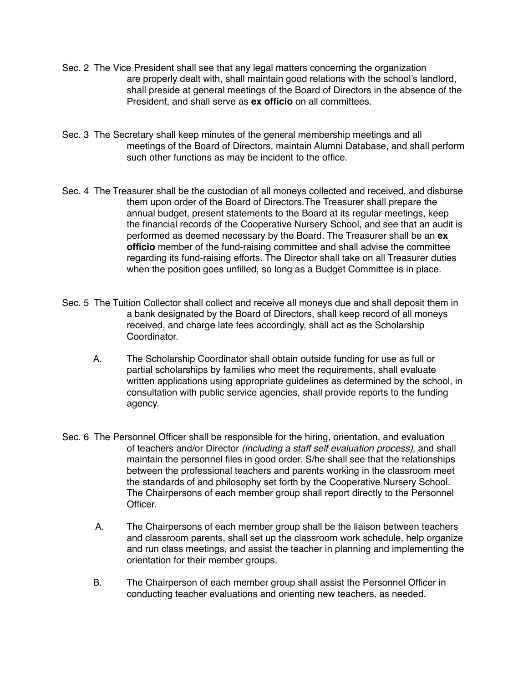- Sec. 2 The Vice President shall see that any legal matters concerning the organization are properly dealt with, shall maintain good relations with the school's landlord, shall preside at general meetings of the Board of Directors in the absence of the President, and shall serve as **ex officio** on all committees.
- Sec. 3 The Secretary shall keep minutes of the general membership meetings and all meetings of the Board of Directors, maintain Alumni Database, and shall perform such other functions as may be incident to the office.
- Sec. 4 The Treasurer shall be the custodian of all moneys collected and received, and disburse them upon order of the Board of Directors. The Treasurer shall prepare the annual budget, present statements to the Board at its regular meetings, keep the financial records of the Cooperative Nursery School, and see that an audit is performed as deemed necessary by the Board. The Treasurer shall be an **ex** officio member of the fund-raising committee and shall advise the committee regarding its fund-raising efforts. The Director shall take on all Treasurer duties when the position goes unfilled, so long as a Budget Committee is in place.
- Sec. 5 The Tuition Collector shall collect and receive all moneys due and shall deposit them in a bank designated by the Board of Directors, shall keep record of all moneys received, and charge late fees accordingly, shall act as the Scholarship Coordinator.
	- A. The Scholarship Coordinator shall obtain outside funding for use as full or partial scholarships by families who meet the requirements, shall evaluate written applications using appropriate guidelines as determined by the school, in consultation with public service agencies, shall provide reports to the funding agency.
- Sec. 6 The Personnel Officer shall be responsible for the hiring, orientation, and evaluation of teachers and/or Director *(including a staff self evaluation process)*, and shall maintain the personnel files in good order. S/he shall see that the relationships between the professional teachers and parents working in the classroom meet the standards of and philosophy set forth by the Cooperative Nursery School. The Chairpersons of each member group shall report directly to the Personnel Officer.
	- A. The Chairpersons of each member group shall be the liaison between teachers and classroom parents, shall set up the classroom work schedule, help organize and run class meetings, and assist the teacher in planning and implementing the orientation for their member groups.
	- B. The Chairperson of each member group shall assist the Personnel Officer in conducting teacher evaluations and orienting new teachers, as needed.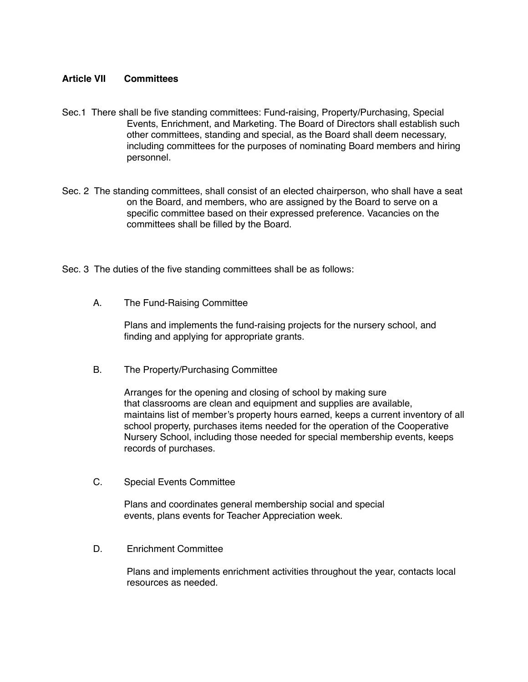## **Article VII Committees**

- Sec.1 There shall be five standing committees: Fund-raising, Property/Purchasing, Special Events, Enrichment, and Marketing. The Board of Directors shall establish such other committees, standing and special, as the Board shall deem necessary, including committees for the purposes of nominating Board members and hiring personnel.
- Sec. 2 The standing committees, shall consist of an elected chairperson, who shall have a seat on the Board, and members, who are assigned by the Board to serve on a specific committee based on their expressed preference. Vacancies on the committees shall be filled by the Board.
- Sec. 3 The duties of the five standing committees shall be as follows:
	- A. The Fund-Raising Committee

Plans and implements the fund-raising projects for the nursery school, and finding and applying for appropriate grants.

B. The Property/Purchasing Committee

Arranges for the opening and closing of school by making sure that classrooms are clean and equipment and supplies are available, maintains list of member's property hours earned, keeps a current inventory of all school property, purchases items needed for the operation of the Cooperative Nursery School, including those needed for special membership events, keeps records of purchases.

C. Special Events Committee

Plans and coordinates general membership social and special events, plans events for Teacher Appreciation week.

D. Enrichment Committee

Plans and implements enrichment activities throughout the year, contacts local resources as needed.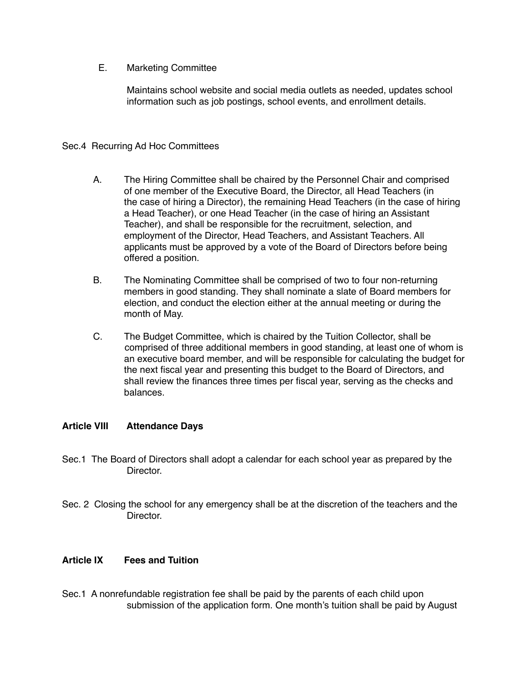E. Marketing Committee

Maintains school website and social media outlets as needed, updates school information such as job postings, school events, and enrollment details.

## Sec.4 Recurring Ad Hoc Committees

- A. The Hiring Committee shall be chaired by the Personnel Chair and comprised of one member of the Executive Board, the Director, all Head Teachers (in the case of hiring a Director), the remaining Head Teachers (in the case of hiring a Head Teacher), or one Head Teacher (in the case of hiring an Assistant Teacher), and shall be responsible for the recruitment, selection, and employment of the Director, Head Teachers, and Assistant Teachers. All applicants must be approved by a vote of the Board of Directors before being offered a position.
- B. The Nominating Committee shall be comprised of two to four non-returning members in good standing. They shall nominate a slate of Board members for election, and conduct the election either at the annual meeting or during the month of May.
- C. The Budget Committee, which is chaired by the Tuition Collector, shall be comprised of three additional members in good standing, at least one of whom is an executive board member, and will be responsible for calculating the budget for the next fiscal year and presenting this budget to the Board of Directors, and shall review the finances three times per fiscal year, serving as the checks and balances.

# **Article VIII Attendance Days**

- Sec.1 The Board of Directors shall adopt a calendar for each school year as prepared by the Director.
- Sec. 2 Closing the school for any emergency shall be at the discretion of the teachers and the Director.

# **Article IX Fees and Tuition**

Sec.1 A nonrefundable registration fee shall be paid by the parents of each child upon submission of the application form. One month's tuition shall be paid by August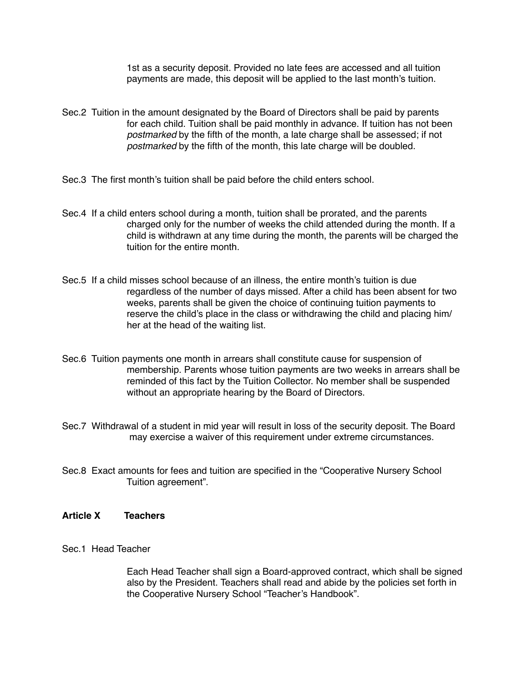1st as a security deposit. Provided no late fees are accessed and all tuition payments are made, this deposit will be applied to the last month's tuition.

- Sec.2 Tuition in the amount designated by the Board of Directors shall be paid by parents for each child. Tuition shall be paid monthly in advance. If tuition has not been *postmarked* by the fifth of the month, a late charge shall be assessed; if not ! ! *postmarked* by the fifth of the month, this late charge will be doubled.
- Sec.3 The first month's tuition shall be paid before the child enters school.
- Sec.4 If a child enters school during a month, tuition shall be prorated, and the parents charged only for the number of weeks the child attended during the month. If a child is withdrawn at any time during the month, the parents will be charged the tuition for the entire month
- Sec.5 If a child misses school because of an illness, the entire month's tuition is due regardless of the number of days missed. After a child has been absent for two weeks, parents shall be given the choice of continuing tuition payments to reserve the child's place in the class or withdrawing the child and placing him/ her at the head of the waiting list.
- Sec.6 Tuition payments one month in arrears shall constitute cause for suspension of membership. Parents whose tuition payments are two weeks in arrears shall be reminded of this fact by the Tuition Collector. No member shall be suspended without an appropriate hearing by the Board of Directors.
- Sec.7 Withdrawal of a student in mid year will result in loss of the security deposit. The Board may exercise a waiver of this requirement under extreme circumstances.
- Sec.8 Exact amounts for fees and tuition are specified in the "Cooperative Nursery School Tuition agreement".

#### **Article X Teachers**

#### Sec.1 Head Teacher

 Each Head Teacher shall sign a Board-approved contract, which shall be signed also by the President. Teachers shall read and abide by the policies set forth in the Cooperative Nursery School "Teacher's Handbook".